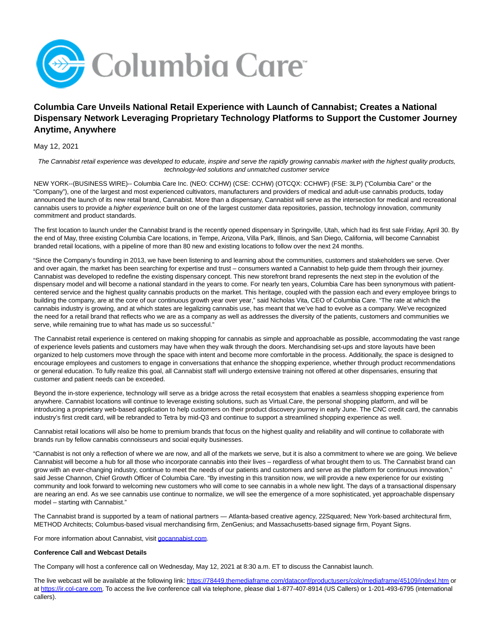

# **Columbia Care Unveils National Retail Experience with Launch of Cannabist; Creates a National Dispensary Network Leveraging Proprietary Technology Platforms to Support the Customer Journey Anytime, Anywhere**

May 12, 2021

The Cannabist retail experience was developed to educate, inspire and serve the rapidly growing cannabis market with the highest quality products, technology-led solutions and unmatched customer service

NEW YORK--(BUSINESS WIRE)-- Columbia Care Inc. (NEO: CCHW) (CSE: CCHW) (OTCQX: CCHWF) (FSE: 3LP) ("Columbia Care" or the "Company"), one of the largest and most experienced cultivators, manufacturers and providers of medical and adult-use cannabis products, today announced the launch of its new retail brand, Cannabist. More than a dispensary, Cannabist will serve as the intersection for medical and recreational cannabis users to provide a higher experience built on one of the largest customer data repositories, passion, technology innovation, community commitment and product standards.

The first location to launch under the Cannabist brand is the recently opened dispensary in Springville, Utah, which had its first sale Friday, April 30. By the end of May, three existing Columbia Care locations, in Tempe, Arizona, Villa Park, Illinois, and San Diego, California, will become Cannabist branded retail locations, with a pipeline of more than 80 new and existing locations to follow over the next 24 months.

"Since the Company's founding in 2013, we have been listening to and learning about the communities, customers and stakeholders we serve. Over and over again, the market has been searching for expertise and trust – consumers wanted a Cannabist to help guide them through their journey. Cannabist was developed to redefine the existing dispensary concept. This new storefront brand represents the next step in the evolution of the dispensary model and will become a national standard in the years to come. For nearly ten years, Columbia Care has been synonymous with patientcentered service and the highest quality cannabis products on the market. This heritage, coupled with the passion each and every employee brings to building the company, are at the core of our continuous growth year over year," said Nicholas Vita, CEO of Columbia Care. "The rate at which the cannabis industry is growing, and at which states are legalizing cannabis use, has meant that we've had to evolve as a company. We've recognized the need for a retail brand that reflects who we are as a company as well as addresses the diversity of the patients, customers and communities we serve, while remaining true to what has made us so successful."

The Cannabist retail experience is centered on making shopping for cannabis as simple and approachable as possible, accommodating the vast range of experience levels patients and customers may have when they walk through the doors. Merchandising set-ups and store layouts have been organized to help customers move through the space with intent and become more comfortable in the process. Additionally, the space is designed to encourage employees and customers to engage in conversations that enhance the shopping experience, whether through product recommendations or general education. To fully realize this goal, all Cannabist staff will undergo extensive training not offered at other dispensaries, ensuring that customer and patient needs can be exceeded.

Beyond the in-store experience, technology will serve as a bridge across the retail ecosystem that enables a seamless shopping experience from anywhere. Cannabist locations will continue to leverage existing solutions, such as Virtual.Care, the personal shopping platform, and will be introducing a proprietary web-based application to help customers on their product discovery journey in early June. The CNC credit card, the cannabis industry's first credit card, will be rebranded to Tetra by mid-Q3 and continue to support a streamlined shopping experience as well.

Cannabist retail locations will also be home to premium brands that focus on the highest quality and reliability and will continue to collaborate with brands run by fellow cannabis connoisseurs and social equity businesses.

"Cannabist is not only a reflection of where we are now, and all of the markets we serve, but it is also a commitment to where we are going. We believe Cannabist will become a hub for all those who incorporate cannabis into their lives – regardless of what brought them to us. The Cannabist brand can grow with an ever-changing industry, continue to meet the needs of our patients and customers and serve as the platform for continuous innovation," said Jesse Channon, Chief Growth Officer of Columbia Care. "By investing in this transition now, we will provide a new experience for our existing community and look forward to welcoming new customers who will come to see cannabis in a whole new light. The days of a transactional dispensary are nearing an end. As we see cannabis use continue to normalize, we will see the emergence of a more sophisticated, yet approachable dispensary model – starting with Cannabist."

The Cannabist brand is supported by a team of national partners — Atlanta-based creative agency, 22Squared; New York-based architectural firm, METHOD Architects; Columbus-based visual merchandising firm, ZenGenius; and Massachusetts-based signage firm, Poyant Signs.

For more information about Cannabist, visit [gocannabist.com.](http://gocannabist.com/)

#### **Conference Call and Webcast Details**

The Company will host a conference call on Wednesday, May 12, 2021 at 8:30 a.m. ET to discuss the Cannabist launch.

The live webcast will be available at the following link: [https://78449.themediaframe.com/dataconf/productusers/colc/mediaframe/45109/indexl.htm o](https://78449.themediaframe.com/dataconf/productusers/colc/mediaframe/45109/indexl.htm)r at [https://ir.col-care.com.](https://ir.col-care.com/) To access the live conference call via telephone, please dial 1-877-407-8914 (US Callers) or 1-201-493-6795 (international callers).